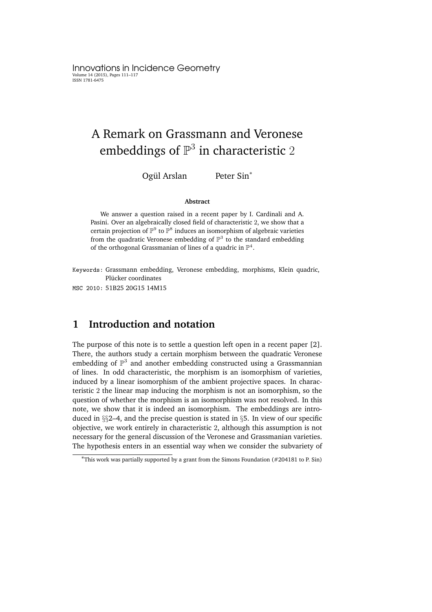Innovations in Incidence Geometry Volume 14 (2015), Pages 111–117 ISSN 1781-6475

# A Remark on Grassmann and Veronese embeddings of  $\mathbb{P}^3$  in characteristic  $2$

Ogül Arslan Peter Sin<sup>\*</sup>

#### **Abstract**

We answer a question raised in a recent paper by I. Cardinali and A. Pasini. Over an algebraically closed field of characteristic 2, we show that a certain projection of  $\mathbb{P}^9$  to  $\mathbb{P}^8$  induces an isomorphism of algebraic varieties from the quadratic Veronese embedding of  $\mathbb{P}^3$  to the standard embedding of the orthogonal Grassmanian of lines of a quadric in  $\mathbb{P}^4$ .

Keywords: Grassmann embedding, Veronese embedding, morphisms, Klein quadric, Plücker coordinates

MSC 2010: 51B25 20G15 14M15

# **1 Introduction and notation**

The purpose of this note is to settle a question left open in a recent paper [2]. There, the authors study a certain morphism between the quadratic Veronese embedding of  $\mathbb{P}^3$  and another embedding constructed using a Grassmannian of lines. In odd characteristic, the morphism is an isomorphism of varieties, induced by a linear isomorphism of the ambient projective spaces. In characteristic 2 the linear map inducing the morphism is not an isomorphism, so the question of whether the morphism is an isomorphism was not resolved. In this note, we show that it is indeed an isomorphism. The embeddings are introduced in §§2–4, and the precise question is stated in §5. In view of our specific objective, we work entirely in characteristic 2, although this assumption is not necessary for the general discussion of the Veronese and Grassmanian varieties. The hypothesis enters in an essential way when we consider the subvariety of

<sup>∗</sup>This work was partially supported by a grant from the Simons Foundation (#204181 to P. Sin)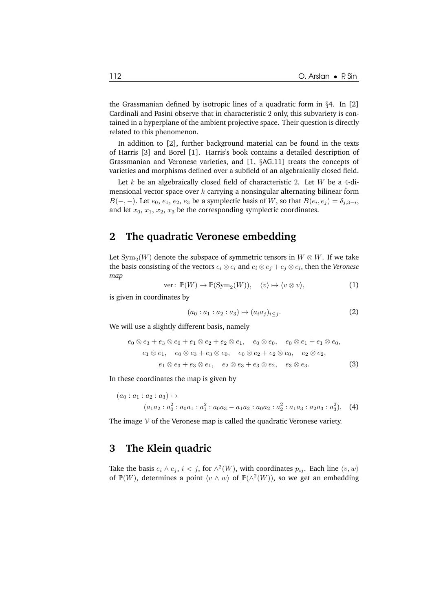the Grassmanian defined by isotropic lines of a quadratic form in §4. In [2] Cardinali and Pasini observe that in characteristic 2 only, this subvariety is contained in a hyperplane of the ambient projective space. Their question is directly related to this phenomenon.

In addition to [2], further background material can be found in the texts of Harris [3] and Borel [1]. Harris's book contains a detailed description of Grassmanian and Veronese varieties, and [1, §AG.11] treats the concepts of varieties and morphisms defined over a subfield of an algebraically closed field.

Let  $k$  be an algebraically closed field of characteristic 2. Let  $W$  be a 4-dimensional vector space over  $k$  carrying a nonsingular alternating bilinear form  $B(-, -)$ . Let  $e_0$ ,  $e_1$ ,  $e_2$ ,  $e_3$  be a symplectic basis of W, so that  $B(e_i, e_j) = \delta_{j,3-i}$ , and let  $x_0$ ,  $x_1$ ,  $x_2$ ,  $x_3$  be the corresponding symplectic coordinates.

## **2 The quadratic Veronese embedding**

Let  $\mathrm{Sym}_2(W)$  denote the subspace of symmetric tensors in  $W\otimes W.$  If we take the basis consisting of the vectors  $e_i \otimes e_i$  and  $e_i \otimes e_j + e_j \otimes e_i$ , then the *Veronese map*

$$
\text{ver}: \mathbb{P}(W) \to \mathbb{P}(\text{Sym}_2(W)), \quad \langle v \rangle \mapsto \langle v \otimes v \rangle,
$$
 (1)

is given in coordinates by

$$
(a_0: a_1: a_2: a_3) \mapsto (a_i a_j)_{i \leq j}.
$$
 (2)

We will use a slightly different basis, namely

$$
e_0 \otimes e_3 + e_3 \otimes e_0 + e_1 \otimes e_2 + e_2 \otimes e_1, \quad e_0 \otimes e_0, \quad e_0 \otimes e_1 + e_1 \otimes e_0,
$$
  
\n
$$
e_1 \otimes e_1, \quad e_0 \otimes e_3 + e_3 \otimes e_0, \quad e_0 \otimes e_2 + e_2 \otimes e_0, \quad e_2 \otimes e_2,
$$
  
\n
$$
e_1 \otimes e_3 + e_3 \otimes e_1, \quad e_2 \otimes e_3 + e_3 \otimes e_2, \quad e_3 \otimes e_3.
$$
 (3)

In these coordinates the map is given by

$$
(a_0: a_1: a_2: a_3) \mapsto
$$
  
\n
$$
(a_1a_2: a_0^2: a_0a_1: a_1^2: a_0a_3 - a_1a_2: a_0a_2: a_2^2: a_1a_3: a_2a_3: a_3^2).
$$
 (4)

The image  $V$  of the Veronese map is called the quadratic Veronese variety.

#### **3 The Klein quadric**

Take the basis  $e_i \wedge e_j$ ,  $i < j$ , for  $\wedge^2(W)$ , with coordinates  $p_{ij}$ . Each line  $\langle v, w \rangle$ of  $\mathbb{P}(W)$ , determines a point  $\langle v \wedge w \rangle$  of  $\mathbb{P}(\wedge^2(W))$ , so we get an embedding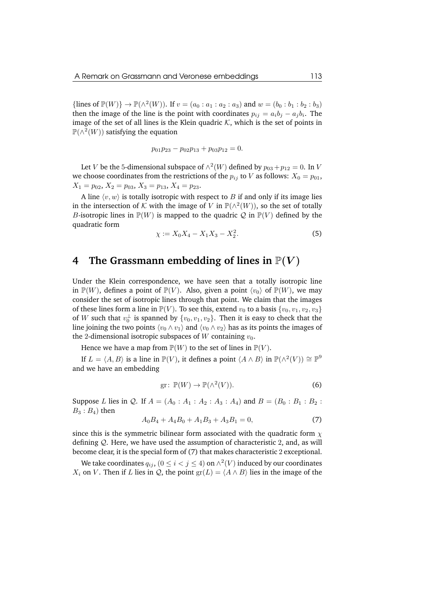{lines of  $\mathbb{P}(W)$ }  $\to \mathbb{P}(\wedge^2(W))$ . If  $v = (a_0 : a_1 : a_2 : a_3)$  and  $w = (b_0 : b_1 : b_2 : b_3)$ then the image of the line is the point with coordinates  $p_{ij} = a_i b_j - a_j b_i$ . The image of the set of all lines is the Klein quadric  $K$ , which is the set of points in  $\mathbb{P}(\wedge^2(W))$  satisfying the equation

$$
p_{01}p_{23} - p_{02}p_{13} + p_{03}p_{12} = 0.
$$

Let V be the 5-dimensional subspace of  $\wedge^2(W)$  defined by  $p_{03} + p_{12} = 0$ . In V we choose coordinates from the restrictions of the  $p_{ij}$  to V as follows:  $X_0 = p_{01}$ ,  $X_1 = p_{02}, X_2 = p_{03}, X_3 = p_{13}, X_4 = p_{23}.$ 

A line  $\langle v, w \rangle$  is totally isotropic with respect to B if and only if its image lies in the intersection of K with the image of V in  $\mathbb{P}(\wedge^2(W))$ , so the set of totally B-isotropic lines in  $\mathbb{P}(W)$  is mapped to the quadric Q in  $\mathbb{P}(V)$  defined by the quadratic form

$$
\chi := X_0 X_4 - X_1 X_3 - X_2^2. \tag{5}
$$

### **4** The Grassmann embedding of lines in  $\mathbb{P}(V)$

Under the Klein correspondence, we have seen that a totally isotropic line in  $\mathbb{P}(W)$ , defines a point of  $\mathbb{P}(V)$ . Also, given a point  $\langle v_0 \rangle$  of  $\mathbb{P}(W)$ , we may consider the set of isotropic lines through that point. We claim that the images of these lines form a line in  $\mathbb{P}(V)$ . To see this, extend  $v_0$  to a basis  $\{v_0, v_1, v_2, v_3\}$ of W such that  $v_0^{\perp}$  is spanned by  $\{v_0, v_1, v_2\}$ . Then it is easy to check that the line joining the two points  $\langle v_0 \wedge v_1 \rangle$  and  $\langle v_0 \wedge v_2 \rangle$  has as its points the images of the 2-dimensional isotropic subspaces of W containing  $v_0$ .

Hence we have a map from  $\mathbb{P}(W)$  to the set of lines in  $\mathbb{P}(V)$ .

If  $L = \langle A, B \rangle$  is a line in  $\mathbb{P}(V)$ , it defines a point  $\langle A \wedge B \rangle$  in  $\mathbb{P}(\wedge^2(V)) \cong \mathbb{P}^9$ and we have an embedding

$$
\text{gr}: \, \mathbb{P}(W) \to \mathbb{P}(\wedge^2(V)).\tag{6}
$$

Suppose L lies in Q. If  $A = (A_0 : A_1 : A_2 : A_3 : A_4)$  and  $B = (B_0 : B_1 : B_2 : A_4)$  $B_3$ :  $B_4$ ) then

$$
A_0B_4 + A_4B_0 + A_1B_3 + A_3B_1 = 0,\t\t(7)
$$

since this is the symmetric bilinear form associated with the quadratic form  $\chi$ defining  $Q$ . Here, we have used the assumption of characteristic 2, and, as will become clear, it is the special form of (7) that makes characteristic 2 exceptional.

We take coordinates  $q_{ij}$ ,  $(0 \leq i < j \leq 4)$  on  $\wedge^2(V)$  induced by our coordinates  $X_i$  on V. Then if L lies in Q, the point  $gr(L) = \langle A \wedge B \rangle$  lies in the image of the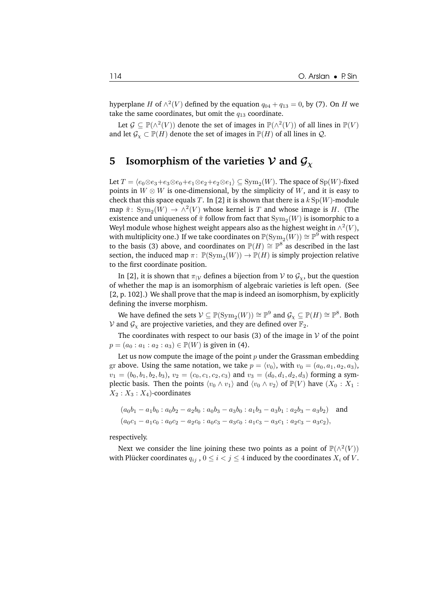hyperplane H of  $\wedge^2(V)$  defined by the equation  $q_{04} + q_{13} = 0$ , by (7). On H we take the same coordinates, but omit the  $q_{13}$  coordinate.

Let  $\mathcal{G} \subseteq \mathbb{P}(\wedge^2(V))$  denote the set of images in  $\mathbb{P}(\wedge^2(V))$  of all lines in  $\mathbb{P}(V)$ and let  $\mathcal{G}_{\chi} \subset \mathbb{P}(H)$  denote the set of images in  $\mathbb{P}(H)$  of all lines in  $\mathcal{Q}$ .

# **5** Isomorphism of the varieties  $V$  and  $G_Y$

Let  $T = \langle e_0{\otimes} e_3+e_3{\otimes} e_0+e_1{\otimes} e_2+e_2{\otimes} e_1 \rangle \subseteq \mathrm{Sym}_2(W).$  The space of  $\mathrm{Sp}(W)$ -fixed points in  $W \otimes W$  is one-dimensional, by the simplicity of W, and it is easy to check that this space equals T. In [2] it is shown that there is a  $k \text{Sp}(W)$ -module map  $\tilde{\pi}$ : Sym<sub>2</sub>(W)  $\to \wedge^2(V)$  whose kernel is T and whose image is H. (The existence and uniqueness of  $\tilde{\pi}$  follow from fact that  $\mathrm{Sym}_2(W)$  is isomorphic to a Weyl module whose highest weight appears also as the highest weight in  $\wedge^2(V)$ , with multiplicity one.) If we take coordinates on  $\mathbb{P}(\mathrm{Sym}_2(W)) \cong \mathbb{P}^9$  with respect to the basis (3) above, and coordinates on  $\mathbb{P}(H) \cong \mathbb{P}^8$  as described in the last section, the induced map  $\pi$ :  $\mathbb{P}(\text{Sym}_2(W)) \to \mathbb{P}(H)$  is simply projection relative to the first coordinate position.

In [2], it is shown that  $\pi_{|V}$  defines a bijection from V to  $\mathcal{G}_X$ , but the question of whether the map is an isomorphism of algebraic varieties is left open. (See [2, p. 102].) We shall prove that the map is indeed an isomorphism, by explicitly defining the inverse morphism.

We have defined the sets  $\mathcal{V}\subseteq \mathbb{P}(\mathrm{Sym}_2(W))\cong \mathbb{P}^9$  and  $\mathcal{G}_\chi\subseteq \mathbb{P}(H)\cong \mathbb{P}^8.$  Both V and  $G_y$  are projective varieties, and they are defined over  $\mathbb{F}_2$ .

The coordinates with respect to our basis (3) of the image in  $V$  of the point  $p = (a_0 : a_1 : a_2 : a_3) \in \mathbb{P}(W)$  is given in (4).

Let us now compute the image of the point  $p$  under the Grassman embedding gr above. Using the same notation, we take  $p = \langle v_0 \rangle$ , with  $v_0 = (a_0, a_1, a_2, a_3)$ ,  $v_1 = (b_0, b_1, b_2, b_3), v_2 = (c_0, c_1, c_2, c_3)$  and  $v_3 = (d_0, d_1, d_2, d_3)$  forming a symplectic basis. Then the points  $\langle v_0 \wedge v_1 \rangle$  and  $\langle v_0 \wedge v_2 \rangle$  of  $\mathbb{P}(V)$  have  $(X_0 : X_1 :$  $X_2 : X_3 : X_4$ -coordinates

$$
(a_0b_1 - a_1b_0 : a_0b_2 - a_2b_0 : a_0b_3 - a_3b_0 : a_1b_3 - a_3b_1 : a_2b_3 - a_3b_2)
$$
 and  

$$
(a_0c_1 - a_1c_0 : a_0c_2 - a_2c_0 : a_0c_3 - a_3c_0 : a_1c_3 - a_3c_1 : a_2c_3 - a_3c_2),
$$

respectively.

Next we consider the line joining these two points as a point of  $\mathbb{P}(\wedge^2(V))$ with Plücker coordinates  $q_{ij}$ ,  $0 \le i < j \le 4$  induced by the coordinates  $X_i$  of V.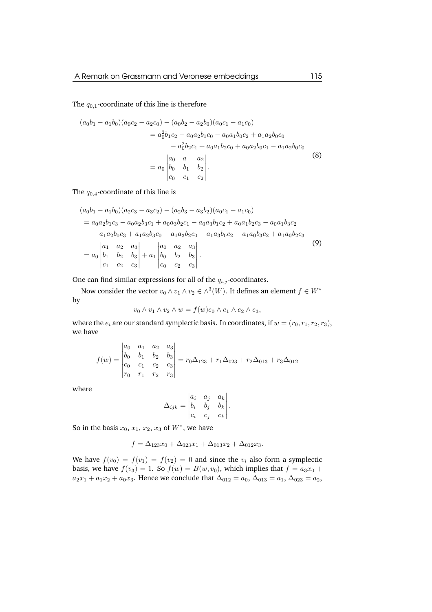#### The  $q_{0,1}$ -coordinate of this line is therefore

$$
(a_0b_1 - a_1b_0)(a_0c_2 - a_2c_0) - (a_0b_2 - a_2b_0)(a_0c_1 - a_1c_0)
$$
  

$$
= a_0^2b_1c_2 - a_0a_2b_1c_0 - a_0a_1b_0c_2 + a_1a_2b_0c_0
$$
  

$$
- a_0^2b_2c_1 + a_0a_1b_2c_0 + a_0a_2b_0c_1 - a_1a_2b_0c_0
$$
  

$$
= a_0 \begin{vmatrix} a_0 & a_1 & a_2 \\ b_0 & b_1 & b_2 \\ c_0 & c_1 & c_2 \end{vmatrix}.
$$
 (8)

The  $q_{0,4}$ -coordinate of this line is

$$
(a_0b_1 - a_1b_0)(a_2c_3 - a_3c_2) - (a_2b_3 - a_3b_2)(a_0c_1 - a_1c_0)
$$
  
=  $a_0a_2b_1c_3 - a_0a_2b_3c_1 + a_0a_3b_2c_1 - a_0a_3b_1c_2 + a_0a_1b_2c_3 - a_0a_1b_3c_2$   
 $- a_1a_2b_0c_3 + a_1a_2b_3c_0 - a_1a_3b_2c_0 + a_1a_3b_0c_2 - a_1a_0b_3c_2 + a_1a_0b_2c_3$   
=  $a_0\begin{vmatrix} a_1 & a_2 & a_3 \ b_1 & b_2 & b_3 \ c_1 & c_2 & c_3 \end{vmatrix} + a_1\begin{vmatrix} a_0 & a_2 & a_3 \ b_0 & b_2 & b_3 \ c_0 & c_2 & c_3 \end{vmatrix}$ . (9)

One can find similar expressions for all of the  $q_{i,j}$ -coordinates.

Now consider the vector  $v_0 \wedge v_1 \wedge v_2 \in \wedge^3(W)$ . It defines an element  $f \in W^*$ by

$$
v_0 \wedge v_1 \wedge v_2 \wedge w = f(w)e_0 \wedge e_1 \wedge e_2 \wedge e_3,
$$

where the  $e_i$  are our standard symplectic basis. In coordinates, if  $w = (r_0, r_1, r_2, r_3)$ , we have

$$
f(w) = \begin{vmatrix} a_0 & a_1 & a_2 & a_3 \\ b_0 & b_1 & b_2 & b_3 \\ c_0 & c_1 & c_2 & c_3 \\ r_0 & r_1 & r_2 & r_3 \end{vmatrix} = r_0 \Delta_{123} + r_1 \Delta_{023} + r_2 \Delta_{013} + r_3 \Delta_{012}
$$

where

$$
\Delta_{ijk} = \begin{vmatrix} a_i & a_j & a_k \\ b_i & b_j & b_k \\ c_i & c_j & c_k \end{vmatrix}.
$$

So in the basis  $x_0, x_1, x_2, x_3$  of  $W^*$ , we have

$$
f = \Delta_{123}x_0 + \Delta_{023}x_1 + \Delta_{013}x_2 + \Delta_{012}x_3.
$$

We have  $f(v_0) = f(v_1) = f(v_2) = 0$  and since the  $v_i$  also form a symplectic basis, we have  $f(v_3) = 1$ . So  $f(w) = B(w, v_0)$ , which implies that  $f = a_3x_0 +$  $a_2x_1 + a_1x_2 + a_0x_3$ . Hence we conclude that  $\Delta_{012} = a_0$ ,  $\Delta_{013} = a_1$ ,  $\Delta_{023} = a_2$ ,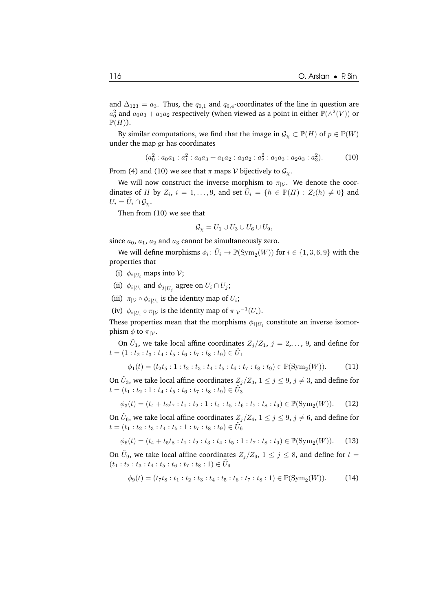and  $\Delta_{123} = a_3$ . Thus, the  $q_{0,1}$  and  $q_{0,4}$ -coordinates of the line in question are  $a_0^2$  and  $a_0a_3 + a_1a_2$  respectively (when viewed as a point in either  $\mathbb{P}(\wedge^2(V))$  or  $\mathbb{P}(H)$ ).

By similar computations, we find that the image in  $\mathcal{G}_{\chi} \subset \mathbb{P}(H)$  of  $p \in \mathbb{P}(W)$ under the map gr has coordinates

$$
(a_0^2 : a_0 a_1 : a_1^2 : a_0 a_3 + a_1 a_2 : a_0 a_2 : a_2^2 : a_1 a_3 : a_2 a_3 : a_3^2). \tag{10}
$$

From (4) and (10) we see that  $\pi$  maps  $\mathcal V$  bijectively to  $\mathcal G_\chi$ .

We will now construct the inverse morphism to  $\pi_{|V}$ . We denote the coordinates of H by  $Z_i$ ,  $i = 1, ..., 9$ , and set  $\tilde{U}_i = \{h \in \mathbb{P}(H) : Z_i(h) \neq 0\}$  and  $U_i = \tilde{U}_i \cap \mathcal{G}_{\chi}.$ 

Then from (10) we see that

$$
\mathcal{G}_{\chi} = U_1 \cup U_3 \cup U_6 \cup U_9,
$$

since  $a_0$ ,  $a_1$ ,  $a_2$  and  $a_3$  cannot be simultaneously zero.

We will define morphisms  $\phi_i \colon \tilde{U}_i \to \mathbb{P}(\mathrm{Sym}_2(W))$  for  $i \in \{1, 3, 6, 9\}$  with the properties that

- (i)  $\phi_{i|U_i}$  maps into  $V$ ;
- (ii)  $\phi_{i|U_i}$  and  $\phi_{j|U_j}$  agree on  $U_i \cap U_j$ ;
- (iii)  $\pi_{|V} \circ \phi_{i|U_i}$  is the identity map of  $U_i$ ;
- (iv)  $\phi_{i|U_i} \circ \pi_{|{\mathcal V}}$  is the identity map of  $\pi_{|{\mathcal V}}^{-1}(U_i)$ .

These properties mean that the morphisms  $\phi_{i|U_i}$  constitute an inverse isomorphism  $\phi$  to  $\pi_{|\mathcal{V}}$ .

On  $\tilde{U}_1$ , we take local affine coordinates  $Z_j/Z_1$ ,  $j = 2,..., 9$ , and define for  $t = (1 : t_2 : t_3 : t_4 : t_5 : t_6 : t_7 : t_8 : t_9) \in \tilde{U}_1$ 

$$
\phi_1(t) = (t_2 t_5 : 1 : t_2 : t_3 : t_4 : t_5 : t_6 : t_7 : t_8 : t_9) \in \mathbb{P}(\text{Sym}_2(W)).
$$
 (11)

On  $\tilde{U}_3$ , we take local affine coordinates  $Z_j/Z_3$ ,  $1 \leq j \leq 9$ ,  $j \neq 3$ , and define for  $t=(t_1:t_2:1:t_4:t_5:t_6:t_7:t_8:t_9)\in \tilde{U}_3$ 

$$
\phi_3(t) = (t_4 + t_2 t_7 : t_1 : t_2 : 1 : t_4 : t_5 : t_6 : t_7 : t_8 : t_9) \in \mathbb{P}(\text{Sym}_2(W)).
$$
 (12)

On  $\tilde{U}_6$ , we take local affine coordinates  $Z_j/Z_6$ ,  $1\leq j\leq 9,$   $j\neq 6,$  and define for  $t = (t_1:t_2:t_3:t_4:t_5:1:t_7:t_8:t_9) \in \tilde{U}_6$ 

$$
\phi_6(t) = (t_4 + t_5t_8 : t_1 : t_2 : t_3 : t_4 : t_5 : 1 : t_7 : t_8 : t_9) \in \mathbb{P}(\text{Sym}_2(W)).
$$
 (13)

On  $\tilde{U}_9$ , we take local affine coordinates  $Z_j/Z_9$ ,  $1 \leq j \leq 8$ , and define for  $t=$  $(t_1 : t_2 : t_3 : t_4 : t_5 : t_6 : t_7 : t_8 : 1) \in \tilde{U}_9$ 

$$
\phi_9(t) = (t_7t_8 : t_1 : t_2 : t_3 : t_4 : t_5 : t_6 : t_7 : t_8 : 1) \in \mathbb{P}(\text{Sym}_2(W)).
$$
 (14)